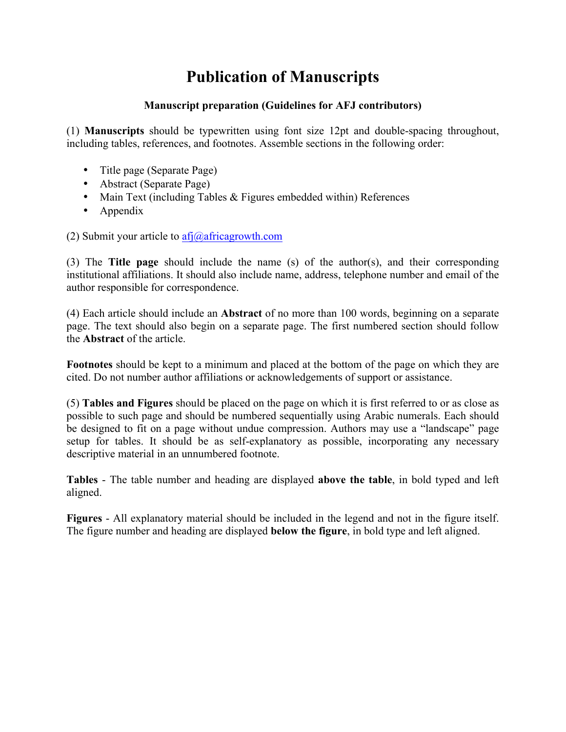# **Publication of Manuscripts**

# **Manuscript preparation (Guidelines for AFJ contributors)**

(1) **Manuscripts** should be typewritten using font size 12pt and double-spacing throughout, including tables, references, and footnotes. Assemble sections in the following order:

- Title page (Separate Page)
- Abstract (Separate Page)
- Main Text (including Tables & Figures embedded within) References
- Appendix

(2) Submit your article to  $\frac{af}{a}$ africagrowth.com

(3) The **Title page** should include the name (s) of the author(s), and their corresponding institutional affiliations. It should also include name, address, telephone number and email of the author responsible for correspondence.

(4) Each article should include an **Abstract** of no more than 100 words, beginning on a separate page. The text should also begin on a separate page. The first numbered section should follow the **Abstract** of the article.

**Footnotes** should be kept to a minimum and placed at the bottom of the page on which they are cited. Do not number author affiliations or acknowledgements of support or assistance.

(5) **Tables and Figures** should be placed on the page on which it is first referred to or as close as possible to such page and should be numbered sequentially using Arabic numerals. Each should be designed to fit on a page without undue compression. Authors may use a "landscape" page setup for tables. It should be as self-explanatory as possible, incorporating any necessary descriptive material in an unnumbered footnote.

**Tables** - The table number and heading are displayed **above the table**, in bold typed and left aligned.

**Figures** - All explanatory material should be included in the legend and not in the figure itself. The figure number and heading are displayed **below the figure**, in bold type and left aligned.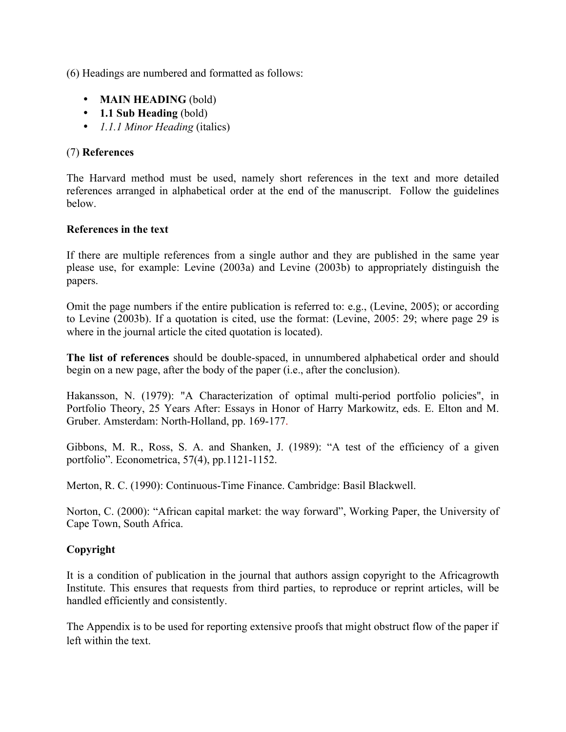(6) Headings are numbered and formatted as follows:

- **MAIN HEADING** (bold)
- **1.1 Sub Heading** (bold)
- *1.1.1 Minor Heading* (italics)

## (7) **References**

The Harvard method must be used, namely short references in the text and more detailed references arranged in alphabetical order at the end of the manuscript. Follow the guidelines below.

#### **References in the text**

If there are multiple references from a single author and they are published in the same year please use, for example: Levine (2003a) and Levine (2003b) to appropriately distinguish the papers.

Omit the page numbers if the entire publication is referred to: e.g., (Levine, 2005); or according to Levine (2003b). If a quotation is cited, use the format: (Levine, 2005: 29; where page 29 is where in the journal article the cited quotation is located).

**The list of references** should be double-spaced, in unnumbered alphabetical order and should begin on a new page, after the body of the paper (i.e., after the conclusion).

Hakansson, N. (1979): "A Characterization of optimal multi-period portfolio policies", in Portfolio Theory, 25 Years After: Essays in Honor of Harry Markowitz, eds. E. Elton and M. Gruber. Amsterdam: North-Holland, pp. 169-177.

Gibbons, M. R., Ross, S. A. and Shanken, J. (1989): "A test of the efficiency of a given portfolio". Econometrica, 57(4), pp.1121-1152.

Merton, R. C. (1990): Continuous-Time Finance. Cambridge: Basil Blackwell.

Norton, C. (2000): "African capital market: the way forward", Working Paper, the University of Cape Town, South Africa.

## **Copyright**

It is a condition of publication in the journal that authors assign copyright to the Africagrowth Institute. This ensures that requests from third parties, to reproduce or reprint articles, will be handled efficiently and consistently.

The Appendix is to be used for reporting extensive proofs that might obstruct flow of the paper if left within the text.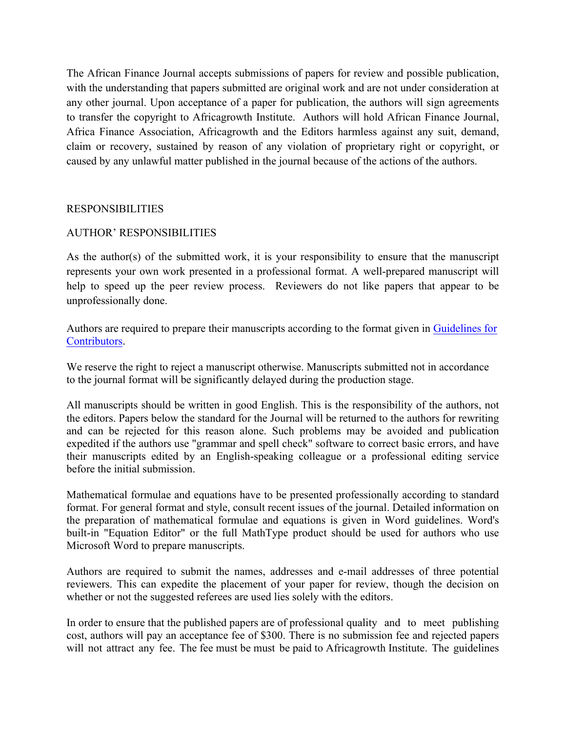The African Finance Journal accepts submissions of papers for review and possible publication, with the understanding that papers submitted are original work and are not under consideration at any other journal. Upon acceptance of a paper for publication, the authors will sign agreements to transfer the copyright to Africagrowth Institute. Authors will hold African Finance Journal, Africa Finance Association, Africagrowth and the Editors harmless against any suit, demand, claim or recovery, sustained by reason of any violation of proprietary right or copyright, or caused by any unlawful matter published in the journal because of the actions of the authors.

## RESPONSIBILITIES

## AUTHOR' RESPONSIBILITIES

As the author(s) of the submitted work, it is your responsibility to ensure that the manuscript represents your own work presented in a professional format. A well-prepared manuscript will help to speed up the peer review process. Reviewers do not like papers that appear to be unprofessionally done.

Authors are required to prepare their manuscripts according to the format given in Guidelines for Contributors.

We reserve the right to reject a manuscript otherwise. Manuscripts submitted not in accordance to the journal format will be significantly delayed during the production stage.

All manuscripts should be written in good English. This is the responsibility of the authors, not the editors. Papers below the standard for the Journal will be returned to the authors for rewriting and can be rejected for this reason alone. Such problems may be avoided and publication expedited if the authors use "grammar and spell check" software to correct basic errors, and have their manuscripts edited by an English-speaking colleague or a professional editing service before the initial submission.

Mathematical formulae and equations have to be presented professionally according to standard format. For general format and style, consult recent issues of the journal. Detailed information on the preparation of mathematical formulae and equations is given in Word guidelines. Word's built-in "Equation Editor" or the full MathType product should be used for authors who use Microsoft Word to prepare manuscripts.

Authors are required to submit the names, addresses and e-mail addresses of three potential reviewers. This can expedite the placement of your paper for review, though the decision on whether or not the suggested referees are used lies solely with the editors.

In order to ensure that the published papers are of professional quality and to meet publishing cost, authors will pay an acceptance fee of \$300. There is no submission fee and rejected papers will not attract any fee. The fee must be must be paid to Africagrowth Institute. The guidelines